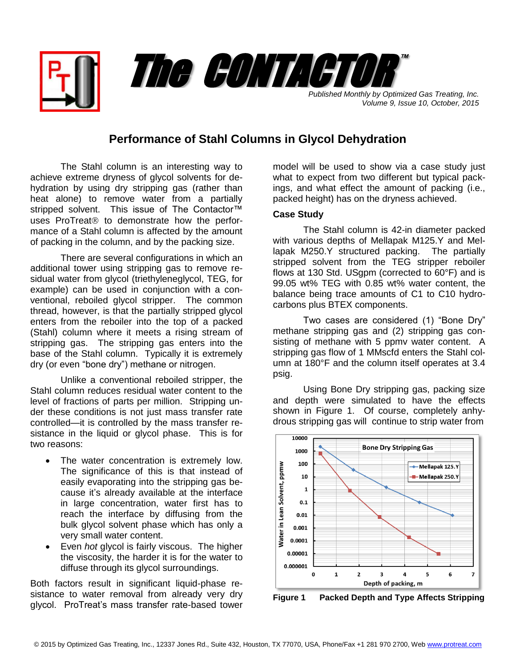

*Published Monthly by Optimized Gas Treating, Inc. Volume 9, Issue 10, October, 2015*

## **Performance of Stahl Columns in Glycol Dehydration**

The Stahl column is an interesting way to achieve extreme dryness of glycol solvents for dehydration by using dry stripping gas (rather than heat alone) to remove water from a partially stripped solvent. This issue of The Contactor<sup>™</sup> uses ProTreat<sup>®</sup> to demonstrate how the performance of a Stahl column is affected by the amount of packing in the column, and by the packing size.

There are several configurations in which an additional tower using stripping gas to remove residual water from glycol (triethyleneglycol, TEG, for example) can be used in conjunction with a conventional, reboiled glycol stripper. The common thread, however, is that the partially stripped glycol enters from the reboiler into the top of a packed (Stahl) column where it meets a rising stream of stripping gas. The stripping gas enters into the base of the Stahl column. Typically it is extremely dry (or even "bone dry") methane or nitrogen.

Unlike a conventional reboiled stripper, the Stahl column reduces residual water content to the level of fractions of parts per million. Stripping under these conditions is not just mass transfer rate controlled—it is controlled by the mass transfer resistance in the liquid or glycol phase. This is for two reasons:

- The water concentration is extremely low. The significance of this is that instead of easily evaporating into the stripping gas because it's already available at the interface in large concentration, water first has to reach the interface by diffusing from the bulk glycol solvent phase which has only a very small water content.
- Even *hot* glycol is fairly viscous. The higher the viscosity, the harder it is for the water to diffuse through its glycol surroundings.

Both factors result in significant liquid-phase resistance to water removal from already very dry glycol. ProTreat's mass transfer rate-based tower model will be used to show via a case study just what to expect from two different but typical packings, and what effect the amount of packing (i.e., packed height) has on the dryness achieved.

## **Case Study**

The Stahl column is 42-in diameter packed with various depths of Mellapak M125.Y and Mellapak M250.Y structured packing. The partially stripped solvent from the TEG stripper reboiler flows at 130 Std. USgpm (corrected to 60°F) and is 99.05 wt% TEG with 0.85 wt% water content, the balance being trace amounts of C1 to C10 hydrocarbons plus BTEX components.

Two cases are considered (1) "Bone Dry" methane stripping gas and (2) stripping gas consisting of methane with 5 ppmv water content. A stripping gas flow of 1 MMscfd enters the Stahl column at 180°F and the column itself operates at 3.4 psig.

Using Bone Dry stripping gas, packing size and depth were simulated to have the effects shown in Figure 1. Of course, completely anhydrous stripping gas will continue to strip water from



**Figure 1 Packed Depth and Type Affects Stripping**